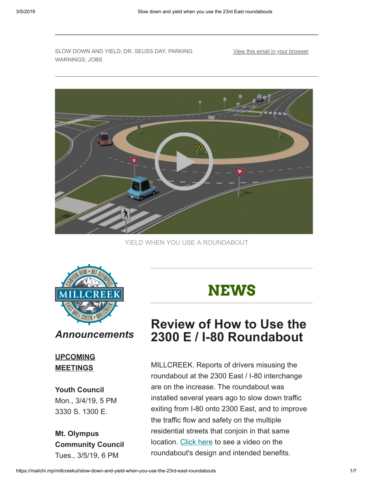SLOW DOWN AND YIELD; DR. SEUSS DAY; PARKING WARNINGS; JOBS

[View this email in your browser](https://mailchi.mp/millcreekut/slow-down-and-yield-when-you-use-the-23rd-east-roundabouts?e=[UNIQID])



YIELD WHEN YOU USE A ROUNDABOUT



#### *Announcements*

#### **UPCOMING MEETINGS**

#### **Youth Council**

Mon., 3/4/19, 5 PM 3330 S. 1300 E.

#### **Mt. Olympus Community Council** Tues., 3/5/19, 6 PM

# **NEWS**

## **Review of How to Use the 2300 E / I-80 Roundabout**

MILLCREEK. Reports of drivers misusing the roundabout at the 2300 East / I-80 interchange are on the increase. The roundabout was installed several years ago to slow down traffic exiting from I-80 onto 2300 East, and to improve the traffic flow and safety on the multiple residential streets that conjoin in that same location. [Click here](https://www.youtube.com/watch?v=xf3CMrtzHT0&feature=youtu.be) to see a video on the roundabout's design and intended benefits.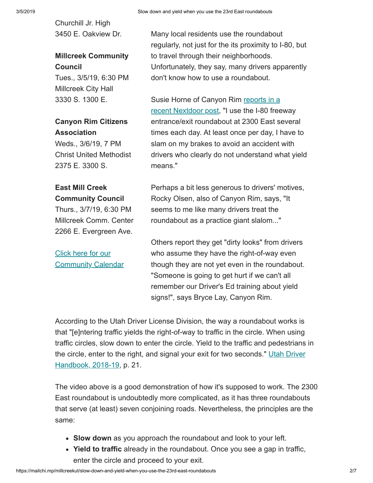Churchill Jr. High 3450 E. Oakview Dr.

### **Millcreek Community Council**

Tues., 3/5/19, 6:30 PM Millcreek City Hall 3330 S. 1300 E.

### **Canyon Rim Citizens Association**

Weds., 3/6/19, 7 PM Christ United Methodist 2375 E. 3300 S.

#### **East Mill Creek Community Council**

Thurs., 3/7/19, 6:30 PM Millcreek Comm. Center 2266 E. Evergreen Ave.

Click here for our **[Community Calendar](https://ut-millcreek.civicplus.com/calendar.aspx?CID=14,22,23)** 

Many local residents use the roundabout regularly, not just for the its proximity to I-80, but to travel through their neighborhoods. Unfortunately, they say, many drivers apparently don't know how to use a roundabout.

[Susie Horne of Canyon Rim reports in a](https://nextdoor.com/news_feed/?post=103315657) recent Nextdoor post, "I use the I-80 freeway entrance/exit roundabout at 2300 East several times each day. At least once per day, I have to slam on my brakes to avoid an accident with drivers who clearly do not understand what yield means."

Perhaps a bit less generous to drivers' motives, Rocky Olsen, also of Canyon Rim, says, "It seems to me like many drivers treat the roundabout as a practice giant slalom..."

Others report they get "dirty looks" from drivers who assume they have the right-of-way even though they are not yet even in the roundabout. "Someone is going to get hurt if we can't all remember our Driver's Ed training about yield signs!", says Bryce Lay, Canyon Rim.

According to the Utah Driver License Division, the way a roundabout works is that "[e]ntering traffic yields the right-of-way to traffic in the circle. When using traffic circles, slow down to enter the circle. Yield to the traffic and pedestrians in [the circle, enter to the right, and signal your exit for two seconds." Utah Driver](https://dld.utah.gov/wp-content/uploads/sites/17/2018/12/Driver-Handbook-2018-2019.pdf) Handbook, 2018-19, p. 21.

The video above is a good demonstration of how it's supposed to work. The 2300 East roundabout is undoubtedly more complicated, as it has three roundabouts that serve (at least) seven conjoining roads. Nevertheless, the principles are the same:

- **Slow down** as you approach the roundabout and look to your left.
- **Yield to traffic** already in the roundabout. Once you see a gap in traffic, enter the circle and proceed to your exit.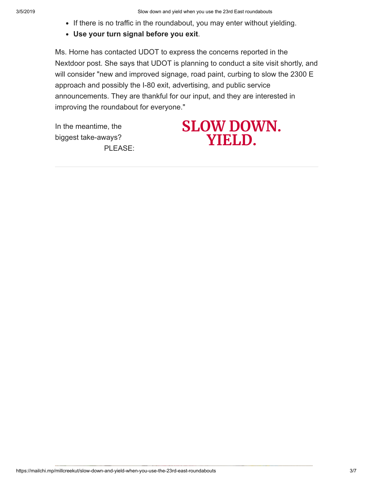- If there is no traffic in the roundabout, you may enter without yielding.
- **Use your turn signal before you exit**.

Ms. Horne has contacted UDOT to express the concerns reported in the Nextdoor post. She says that UDOT is planning to conduct a site visit shortly, and will consider "new and improved signage, road paint, curbing to slow the 2300 E approach and possibly the I-80 exit, advertising, and public service announcements. They are thankful for our input, and they are interested in improving the roundabout for everyone."

In the meantime, the biggest take-aways? PLEASE:

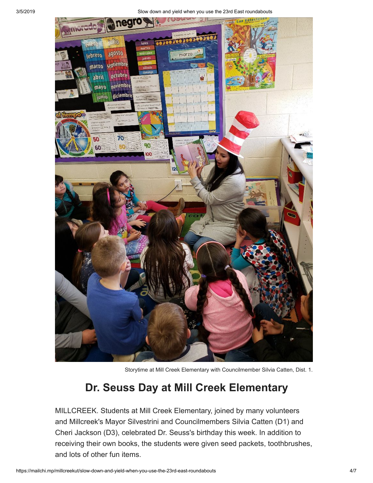3/5/2019 Slow down and yield when you use the 23rd East roundabouts



Storytime at Mill Creek Elementary with Councilmember Silvia Catten, Dist. 1.

### **Dr. Seuss Day at Mill Creek Elementary**

MILLCREEK. Students at Mill Creek Elementary, joined by many volunteers and Millcreek's Mayor Silvestrini and Councilmembers Silvia Catten (D1) and Cheri Jackson (D3), celebrated Dr. Seuss's birthday this week. In addition to receiving their own books, the students were given seed packets, toothbrushes, and lots of other fun items.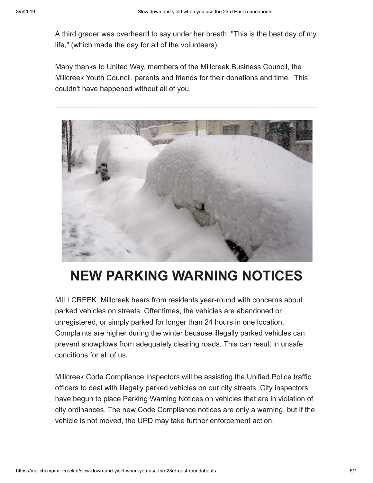A third grader was overheard to say under her breath, "This is the best day of my life," (which made the day for all of the volunteers).

Many thanks to United Way, members of the Millcreek Business Council, the Millcreek Youth Council, parents and friends for their donations and time. This couldn't have happened without all of you.



# **NEW PARKING WARNING NOTICES**

MILLCREEK. Millcreek hears from residents year-round with concerns about parked vehicles on streets. Oftentimes, the vehicles are abandoned or unregistered, or simply parked for longer than 24 hours in one location. Complaints are higher during the winter because illegally parked vehicles can prevent snowplows from adequately clearing roads. This can result in unsafe conditions for all of us.

Millcreek Code Compliance Inspectors will be assisting the Unified Police traffic officers to deal with illegally parked vehicles on our city streets. City inspectors have begun to place Parking Warning Notices on vehicles that are in violation of city ordinances. The new Code Compliance notices are only a warning, but if the vehicle is not moved, the UPD may take further enforcement action.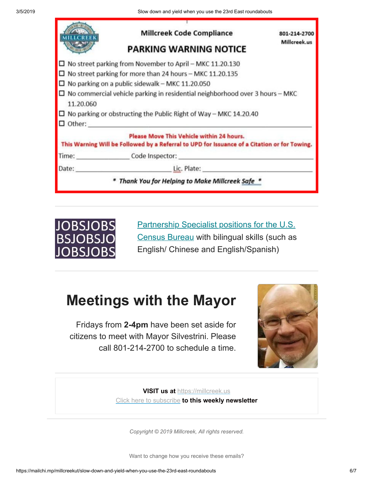|           | <b>Millcreek Code Compliance</b><br><b>PARKING WARNING NOTICE</b>                                                                                                                                                                                                                                                                                                                  | 801-214-2700<br>Millcreek.us |
|-----------|------------------------------------------------------------------------------------------------------------------------------------------------------------------------------------------------------------------------------------------------------------------------------------------------------------------------------------------------------------------------------------|------------------------------|
| 11.20.060 | $\Box$ No street parking from November to April – MKC 11.20.130<br>$\Box$ No street parking for more than 24 hours – MKC 11.20.135<br>$\square$ No parking on a public sidewalk – MKC 11.20.050<br>$\Box$ No commercial vehicle parking in residential neighborhood over 3 hours – MKC<br>$\Box$ No parking or obstructing the Public Right of Way – MKC 14.20.40<br>$\Box$ Other: |                              |
|           | Please Move This Vehicle within 24 hours.<br>This Warning Will be Followed by a Referral to UPD for Issuance of a Citation or for Towing.                                                                                                                                                                                                                                          |                              |
|           | Lic. Plate: <b>All Accords</b><br>Thank You for Helping to Make Millcreek Safe *                                                                                                                                                                                                                                                                                                   |                              |



[Partnership Specialist positions for the U.S.](https://www.usajobs.gov/Search/?l=Utah&k=Partnership%20Specialist&p=1) Census Bureau with bilingual skills (such as English/ Chinese and English/Spanish)

## **Meetings with the Mayor**

Fridays from **2-4pm** have been set aside for citizens to meet with Mayor Silvestrini. Please call 801-214-2700 to schedule a time.



**VISIT us at** [https://millcreek.us](https://millcreek.us/) [Click here to subscribe](http://millcreekut.us1.list-manage.com/subscribe?u=41cb21e12764b9940f492b953&id=ce902d47c8) **to this weekly newsletter**

*Copyright © 2019 Millcreek, All rights reserved.*

Want to change how you receive these emails?